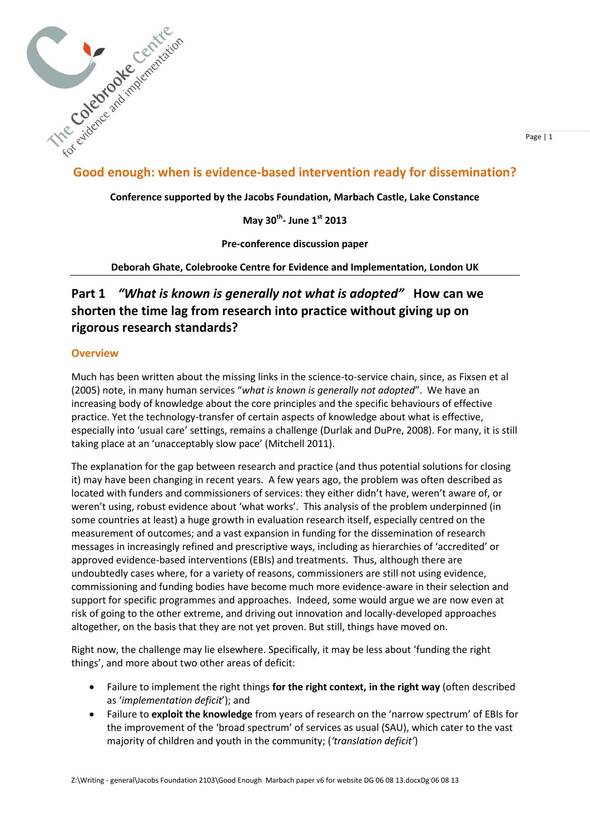

## **Good enough: when is evidence-based intervention ready for dissemination?**

**Conference supported by the Jacobs Foundation, Marbach Castle, Lake Constance** 

**May 30th - June 1st 2013**

**Pre-conference discussion paper** 

**Deborah Ghate, Colebrooke Centre for Evidence and Implementation, London UK**

# **Part 1** *"What is known is generally not what is adopted"* **How can we shorten the time lag from research into practice without giving up on rigorous research standards?**

### **Overview**

Much has been written about the missing links in the science-to-service chain, since, as Fixsen et al (2005) note, in many human services "*what is known is generally not adopted*". We have an increasing body of knowledge about the core principles and the specific behaviours of effective practice. Yet the technology-transfer of certain aspects of knowledge about what is effective, especially into 'usual care' settings, remains a challenge (Durlak and DuPre, 2008). For many, it is still taking place at an 'unacceptably slow pace' (Mitchell 2011).

The explanation for the gap between research and practice (and thus potential solutions for closing it) may have been changing in recent years. A few years ago, the problem was often described as located with funders and commissioners of services: they either didn't have, weren't aware of, or weren't using, robust evidence about 'what works'. This analysis of the problem underpinned (in some countries at least) a huge growth in evaluation research itself, especially centred on the measurement of outcomes; and a vast expansion in funding for the dissemination of research messages in increasingly refined and prescriptive ways, including as hierarchies of 'accredited' or approved evidence-based interventions (EBIs) and treatments. Thus, although there are undoubtedly cases where, for a variety of reasons, commissioners are still not using evidence, commissioning and funding bodies have become much more evidence-aware in their selection and support for specific programmes and approaches. Indeed, some would argue we are now even at risk of going to the other extreme, and driving out innovation and locally-developed approaches altogether, on the basis that they are not yet proven. But still, things have moved on.

Right now, the challenge may lie elsewhere. Specifically, it may be less about 'funding the right things', and more about two other areas of deficit:

- Failure to implement the right things **for the right context, in the right way** (often described as '*implementation deficit*'); and
- Failure to **exploit the knowledge** from years of research on the 'narrow spectrum' of EBIs for the improvement of the 'broad spectrum' of services as usual (SAU), which cater to the vast majority of children and youth in the community; (*'translation deficit'*)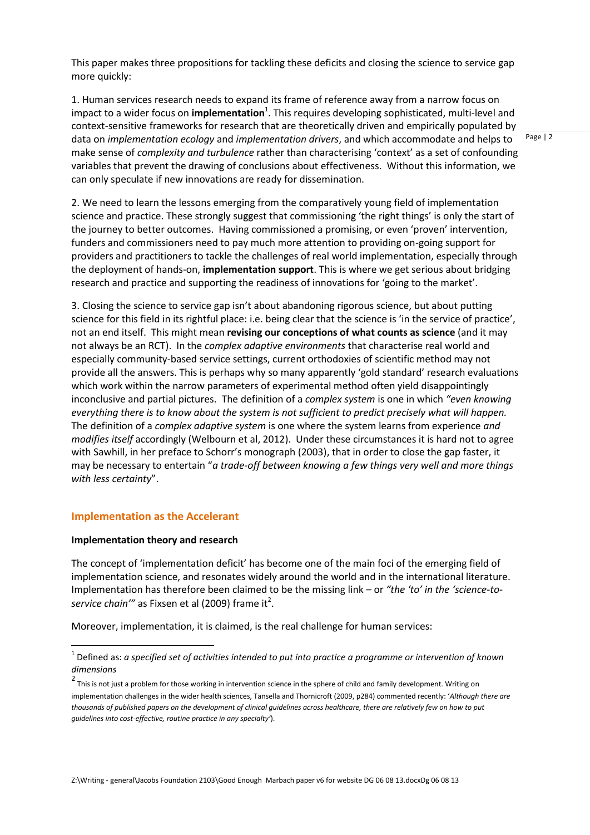This paper makes three propositions for tackling these deficits and closing the science to service gap more quickly:

1. Human services research needs to expand its frame of reference away from a narrow focus on impact to a wider focus on *implementation<sup>1</sup>*. This requires developing sophisticated, multi-level and context-sensitive frameworks for research that are theoretically driven and empirically populated by data on *implementation ecology* and *implementation drivers*, and which accommodate and helps to make sense of *complexity and turbulence* rather than characterising 'context' as a set of confounding variables that prevent the drawing of conclusions about effectiveness. Without this information, we can only speculate if new innovations are ready for dissemination.

2. We need to learn the lessons emerging from the comparatively young field of implementation science and practice. These strongly suggest that commissioning 'the right things' is only the start of the journey to better outcomes. Having commissioned a promising, or even 'proven' intervention, funders and commissioners need to pay much more attention to providing on-going support for providers and practitioners to tackle the challenges of real world implementation, especially through the deployment of hands-on, **implementation support**. This is where we get serious about bridging research and practice and supporting the readiness of innovations for 'going to the market'.

3. Closing the science to service gap isn't about abandoning rigorous science, but about putting science for this field in its rightful place: i.e. being clear that the science is 'in the service of practice', not an end itself. This might mean **revising our conceptions of what counts as science** (and it may not always be an RCT). In the *complex adaptive environments* that characterise real world and especially community-based service settings, current orthodoxies of scientific method may not provide all the answers. This is perhaps why so many apparently 'gold standard' research evaluations which work within the narrow parameters of experimental method often yield disappointingly inconclusive and partial pictures. The definition of a *complex system* is one in which *"even knowing everything there is to know about the system is not sufficient to predict precisely what will happen.* The definition of a *complex adaptive system* is one where the system learns from experience *and modifies itself* accordingly (Welbourn et al, 2012). Under these circumstances it is hard not to agree with Sawhill, in her preface to Schorr's monograph (2003), that in order to close the gap faster, it may be necessary to entertain "*a trade-off between knowing a few things very well and more things with less certainty*".

#### **Implementation as the Accelerant**

#### **Implementation theory and research**

-

The concept of 'implementation deficit' has become one of the main foci of the emerging field of implementation science, and resonates widely around the world and in the international literature. Implementation has therefore been claimed to be the missing link – or *"the 'to' in the 'science-to*service chain'" as Fixsen et al (2009) frame it<sup>2</sup>.

Moreover, implementation, it is claimed, is the real challenge for human services:

<sup>1</sup> Defined as: *a specified set of activities intended to put into practice a programme or intervention of known dimensions*

<sup>2</sup> This is not just a problem for those working in intervention science in the sphere of child and family development. Writing on implementation challenges in the wider health sciences, Tansella and Thornicroft (2009, p284) commented recently: '*Although there are thousands of published papers on the development of clinical guidelines across healthcare, there are relatively few on how to put guidelines into cost-effective, routine practice in any specialty'*).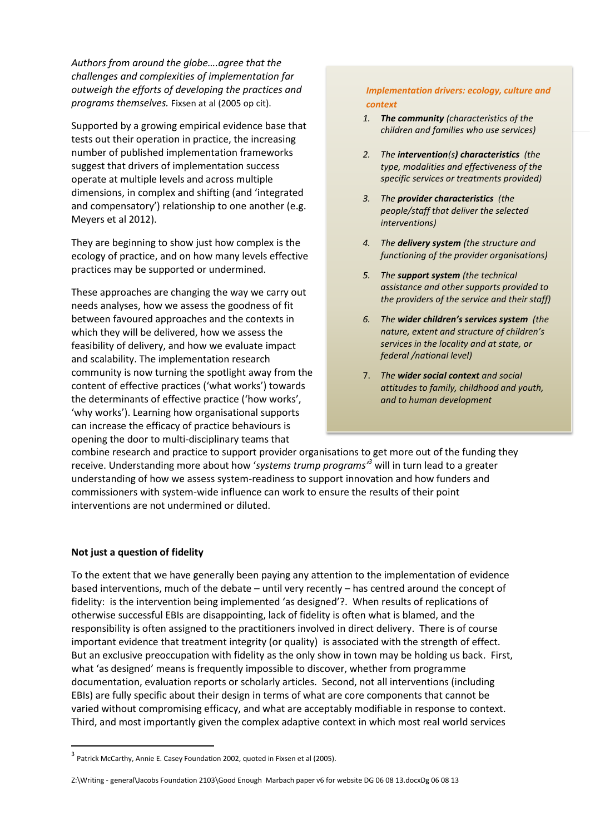*Authors from around the globe….agree that the challenges and complexities of implementation far outweigh the efforts of developing the practices and programs themselves.* Fixsen at al (2005 op cit).

Supported by a growing empirical evidence base that tests out their operation in practice, the increasing number of published implementation frameworks suggest that drivers of implementation success operate at multiple levels and across multiple dimensions, in complex and shifting (and 'integrated and compensatory') relationship to one another (e.g. Meyers et al 2012).

They are beginning to show just how complex is the ecology of practice, and on how many levels effective practices may be supported or undermined.

These approaches are changing the way we carry out needs analyses, how we assess the goodness of fit between favoured approaches and the contexts in which they will be delivered, how we assess the feasibility of delivery, and how we evaluate impact and scalability. The implementation research community is now turning the spotlight away from the content of effective practices ('what works') towards the determinants of effective practice ('how works', 'why works'). Learning how organisational supports can increase the efficacy of practice behaviours is opening the door to multi-disciplinary teams that

*Implementation drivers: ecology, culture and context*

- Page | 3 *children and families who use services) 1. The community (characteristics of the*
- *2. The intervention(s) characteristics (the type, modalities and effectiveness of the specific services or treatments provided)*
- *3. The provider characteristics (the people/staff that deliver the selected interventions)*
- *4. The delivery system (the structure and functioning of the provider organisations)*
- *5. The support system (the technical assistance and other supports provided to the providers of the service and their staff)*
- *6. The wider children's services system (the nature, extent and structure of children's services in the locality and at state, or federal /national level)*
- 7. *The wider social context and social attitudes to family, childhood and youth, and to human development*

combine research and practice to support provider organisations to get more out of the funding they receive. Understanding more about how '*systems trump programs'<sup>3</sup>* will in turn lead to a greater understanding of how we assess system-readiness to support innovation and how funders and commissioners with system-wide influence can work to ensure the results of their point interventions are not undermined or diluted.

### **Not just a question of fidelity**

1

To the extent that we have generally been paying any attention to the implementation of evidence based interventions, much of the debate – until very recently – has centred around the concept of fidelity: is the intervention being implemented 'as designed'?. When results of replications of otherwise successful EBIs are disappointing, lack of fidelity is often what is blamed, and the responsibility is often assigned to the practitioners involved in direct delivery. There is of course important evidence that treatment integrity (or quality) is associated with the strength of effect. But an exclusive preoccupation with fidelity as the only show in town may be holding us back. First, what 'as designed' means is frequently impossible to discover, whether from programme documentation, evaluation reports or scholarly articles. Second, not all interventions (including EBIs) are fully specific about their design in terms of what are core components that cannot be varied without compromising efficacy, and what are acceptably modifiable in response to context. Third, and most importantly given the complex adaptive context in which most real world services

 $3$  Patrick McCarthy, Annie E. Casey Foundation 2002, quoted in Fixsen et al (2005).

Z:\Writing - general\Jacobs Foundation 2103\Good Enough Marbach paper v6 for website DG 06 08 13.docxDg 06 08 13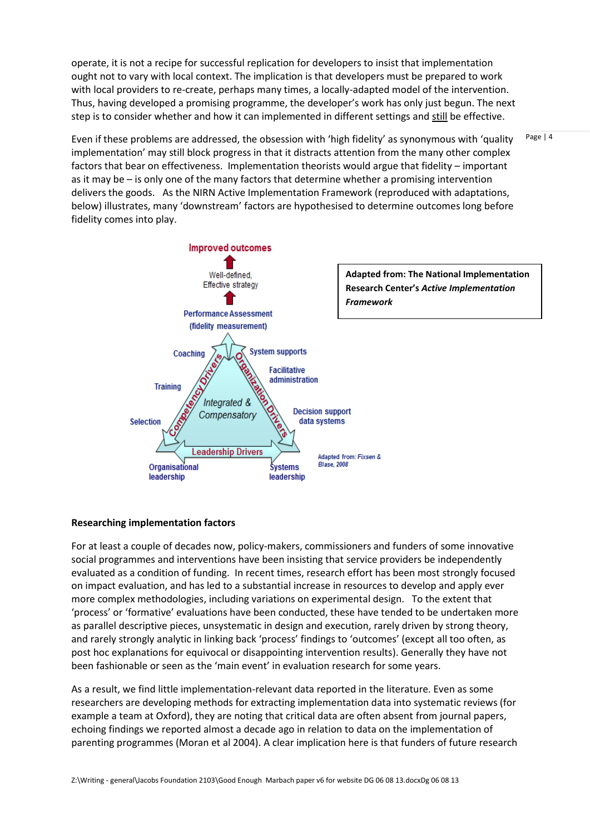operate, it is not a recipe for successful replication for developers to insist that implementation ought not to vary with local context. The implication is that developers must be prepared to work with local providers to re-create, perhaps many times, a locally-adapted model of the intervention. Thus, having developed a promising programme, the developer's work has only just begun. The next step is to consider whether and how it can implemented in different settings and still be effective.

Even if these problems are addressed, the obsession with 'high fidelity' as synonymous with 'quality implementation' may still block progress in that it distracts attention from the many other complex factors that bear on effectiveness. Implementation theorists would argue that fidelity – important as it may be – is only one of the many factors that determine whether a promising intervention delivers the goods. As the NIRN Active Implementation Framework (reproduced with adaptations, below) illustrates, many 'downstream' factors are hypothesised to determine outcomes long before fidelity comes into play.



### **Researching implementation factors**

For at least a couple of decades now, policy-makers, commissioners and funders of some innovative social programmes and interventions have been insisting that service providers be independently evaluated as a condition of funding. In recent times, research effort has been most strongly focused on impact evaluation, and has led to a substantial increase in resources to develop and apply ever more complex methodologies, including variations on experimental design. To the extent that 'process' or 'formative' evaluations have been conducted, these have tended to be undertaken more as parallel descriptive pieces, unsystematic in design and execution, rarely driven by strong theory, and rarely strongly analytic in linking back 'process' findings to 'outcomes' (except all too often, as post hoc explanations for equivocal or disappointing intervention results). Generally they have not been fashionable or seen as the 'main event' in evaluation research for some years.

As a result, we find little implementation-relevant data reported in the literature. Even as some researchers are developing methods for extracting implementation data into systematic reviews (for example a team at Oxford), they are noting that critical data are often absent from journal papers, echoing findings we reported almost a decade ago in relation to data on the implementation of parenting programmes (Moran et al 2004). A clear implication here is that funders of future research

Z:\Writing - general\Jacobs Foundation 2103\Good Enough Marbach paper v6 for website DG 06 08 13.docxDg 06 08 13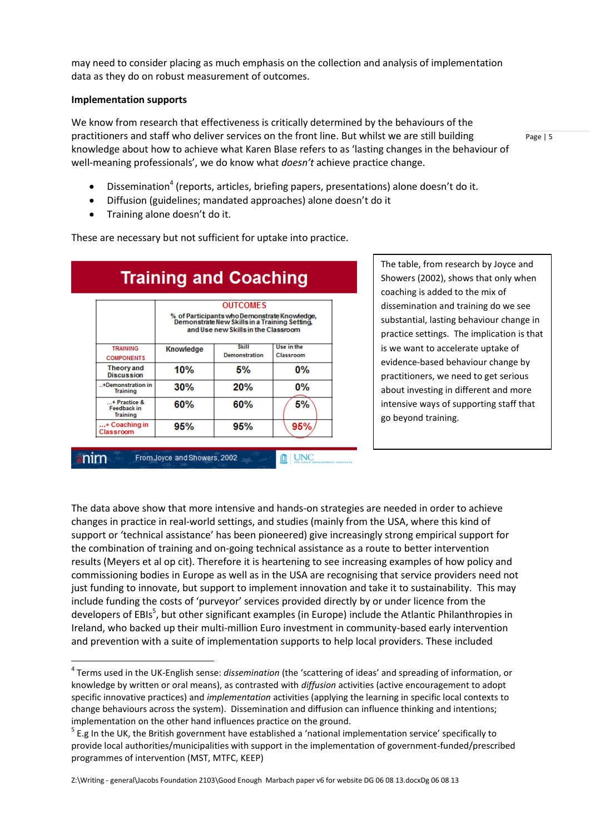may need to consider placing as much emphasis on the collection and analysis of implementation data as they do on robust measurement of outcomes.

#### **Implementation supports**

-

nim

We know from research that effectiveness is critically determined by the behaviours of the practitioners and staff who deliver services on the front line. But whilst we are still building knowledge about how to achieve what Karen Blase refers to as 'lasting changes in the behaviour of well-meaning professionals', we do know what *doesn't* achieve practice change.

• Dissemination<sup>4</sup> (reports, articles, briefing papers, presentations) alone doesn't do it.

- Diffusion (guidelines; mandated approaches) alone doesn't do it
- Training alone doesn't do it.

These are necessary but not sufficient for uptake into practice.

| <b>Training and Coaching</b>                          |                                                                                                                                                         |                                      |                         |
|-------------------------------------------------------|---------------------------------------------------------------------------------------------------------------------------------------------------------|--------------------------------------|-------------------------|
|                                                       | <b>OUTCOMES</b><br>% of Participants who Demonstrate Knowledge,<br>Demonstrate New Skills in a Training Setting,<br>and Use new Skills in the Classroom |                                      |                         |
| <b>TRAINING</b><br><b>COMPONENTS</b>                  | <b>Knowledge</b>                                                                                                                                        | <b>Skill</b><br><b>Demonstration</b> | Use in the<br>Classroom |
| Theory and<br><b>Discussion</b>                       | 10%                                                                                                                                                     | 5%                                   | 0%                      |
| +Demonstration in<br><b>Training</b>                  | 30%                                                                                                                                                     | 20%                                  | $0\%$                   |
| + Practice &<br><b>Feedback in</b><br><b>Training</b> | 60%                                                                                                                                                     | 60%                                  | 5%                      |
| + Coaching in<br>Classroom                            | 95%                                                                                                                                                     | 95%                                  | 95%                     |

From Joyce and Showers, 2002

The table, from research by Joyce and Showers (2002), shows that only when coaching is added to the mix of dissemination and training do we see substantial, lasting behaviour change in practice settings. The implication is that is we want to accelerate uptake of evidence-based behaviour change by practitioners, we need to get serious about investing in different and more intensive ways of supporting staff that go beyond training.

The data above show that more intensive and hands-on strategies are needed in order to achieve changes in practice in real-world settings, and studies (mainly from the USA, where this kind of support or 'technical assistance' has been pioneered) give increasingly strong empirical support for the combination of training and on-going technical assistance as a route to better intervention results (Meyers et al op cit). Therefore it is heartening to see increasing examples of how policy and commissioning bodies in Europe as well as in the USA are recognising that service providers need not just funding to innovate, but support to implement innovation and take it to sustainability. This may include funding the costs of 'purveyor' services provided directly by or under licence from the developers of EBIs<sup>5</sup>, but other significant examples (in Europe) include the Atlantic Philanthropies in Ireland, who backed up their multi-million Euro investment in community-based early intervention and prevention with a suite of implementation supports to help local providers. These included

**II** UNC

Z:\Writing - general\Jacobs Foundation 2103\Good Enough Marbach paper v6 for website DG 06 08 13.docxDg 06 08 13

<sup>4</sup> Terms used in the UK-English sense: *dissemination* (the 'scattering of ideas' and spreading of information, or knowledge by written or oral means), as contrasted with *diffusion* activities (active encouragement to adopt specific innovative practices) and *implementation* activities (applying the learning in specific local contexts to change behaviours across the system). Dissemination and diffusion can influence thinking and intentions; implementation on the other hand influences practice on the ground.

<sup>&</sup>lt;sup>5</sup> E.g In the UK, the British government have established a 'national implementation service' specifically to provide local authorities/municipalities with support in the implementation of government-funded/prescribed programmes of intervention (MST, MTFC, KEEP)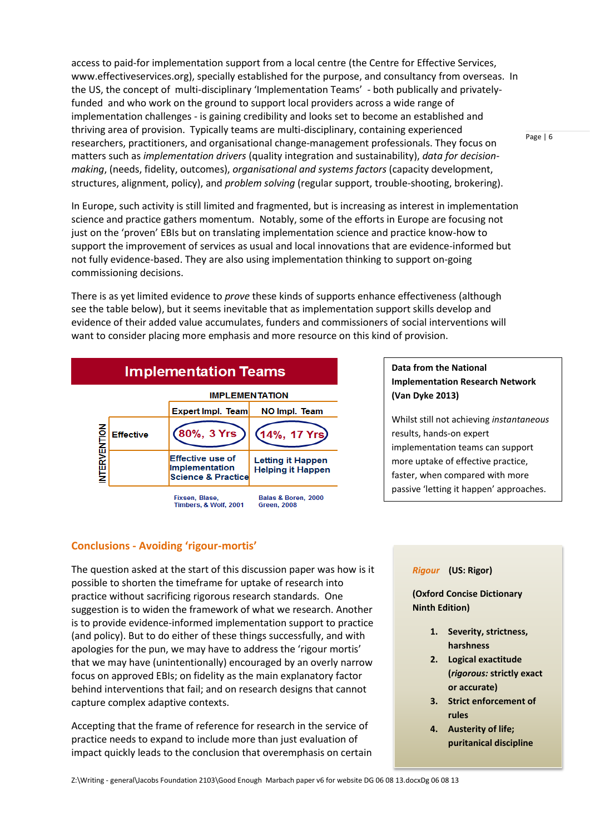access to paid-for implementation support from a local centre (the Centre for Effective Services, www.effectiveservices.org), specially established for the purpose, and consultancy from overseas. In the US, the concept of multi-disciplinary 'Implementation Teams' - both publically and privatelyfunded and who work on the ground to support local providers across a wide range of implementation challenges - is gaining credibility and looks set to become an established and thriving area of provision. Typically teams are multi-disciplinary, containing experienced researchers, practitioners, and organisational change-management professionals. They focus on matters such as *implementation drivers* (quality integration and sustainability), *data for decisionmaking*, (needs, fidelity, outcomes), *organisational and systems factors* (capacity development, structures, alignment, policy), and *problem solving* (regular support, trouble-shooting, brokering).

In Europe, such activity is still limited and fragmented, but is increasing as interest in implementation science and practice gathers momentum. Notably, some of the efforts in Europe are focusing not just on the 'proven' EBIs but on translating implementation science and practice know-how to support the improvement of services as usual and local innovations that are evidence-informed but not fully evidence-based. They are also using implementation thinking to support on-going commissioning decisions.

There is as yet limited evidence to *prove* these kinds of supports enhance effectiveness (although see the table below), but it seems inevitable that as implementation support skills develop and evidence of their added value accumulates, funders and commissioners of social interventions will want to consider placing more emphasis and more resource on this kind of provision.



### **Data from the National Implementation Research Network (Van Dyke 2013)**

Whilst still not achieving *instantaneous* results, hands-on expert implementation teams can support more uptake of effective practice, faster, when compared with more passive 'letting it happen' approaches.

### **Conclusions - Avoiding 'rigour-mortis'**

The question asked at the start of this discussion paper was how is it possible to shorten the timeframe for uptake of research into practice without sacrificing rigorous research standards. One suggestion is to widen the framework of what we research. Another is to provide evidence-informed implementation support to practice (and policy). But to do either of these things successfully, and with apologies for the pun, we may have to address the 'rigour mortis' that we may have (unintentionally) encouraged by an overly narrow focus on approved EBIs; on fidelity as the main explanatory factor behind interventions that fail; and on research designs that cannot capture complex adaptive contexts.

Accepting that the frame of reference for research in the service of practice needs to expand to include more than just evaluation of impact quickly leads to the conclusion that overemphasis on certain

### *Rigour* **(US: Rigor)**

**(Oxford Concise Dictionary Ninth Edition)** 

- **1. Severity, strictness, harshness**
- **2. Logical exactitude (***rigorous:* **strictly exact or accurate)**
- **3. Strict enforcement of rules**
- **4. Austerity of life; puritanical discipline**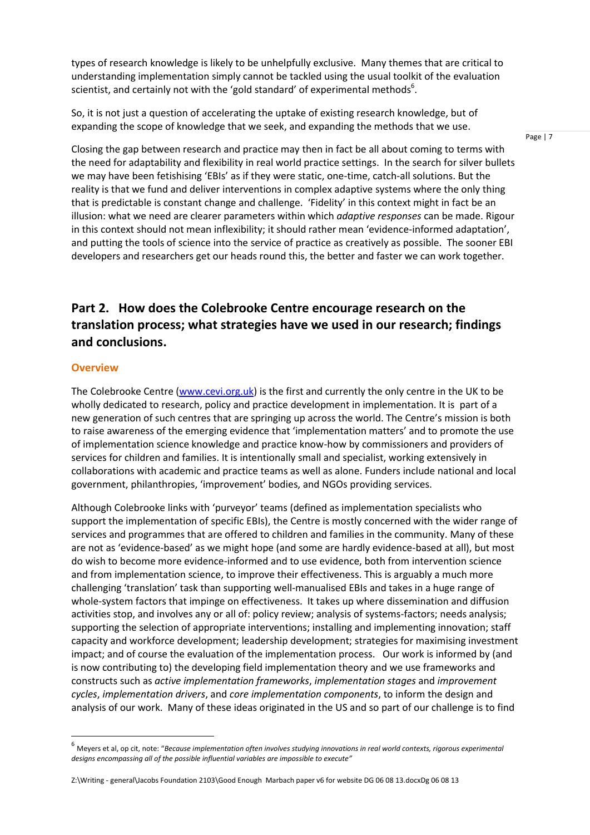types of research knowledge is likely to be unhelpfully exclusive. Many themes that are critical to understanding implementation simply cannot be tackled using the usual toolkit of the evaluation scientist, and certainly not with the 'gold standard' of experimental methods<sup>6</sup>.

So, it is not just a question of accelerating the uptake of existing research knowledge, but of expanding the scope of knowledge that we seek, and expanding the methods that we use.

Page | 7

Closing the gap between research and practice may then in fact be all about coming to terms with the need for adaptability and flexibility in real world practice settings. In the search for silver bullets we may have been fetishising 'EBIs' as if they were static, one-time, catch-all solutions. But the reality is that we fund and deliver interventions in complex adaptive systems where the only thing that is predictable is constant change and challenge. 'Fidelity' in this context might in fact be an illusion: what we need are clearer parameters within which *adaptive responses* can be made. Rigour in this context should not mean inflexibility; it should rather mean 'evidence-informed adaptation', and putting the tools of science into the service of practice as creatively as possible. The sooner EBI developers and researchers get our heads round this, the better and faster we can work together.

# **Part 2. How does the Colebrooke Centre encourage research on the translation process; what strategies have we used in our research; findings and conclusions.**

### **Overview**

-

The Colebrooke Centre [\(www.cevi.org.uk\)](http://www.cevi.org.uk/) is the first and currently the only centre in the UK to be wholly dedicated to research, policy and practice development in implementation. It is part of a new generation of such centres that are springing up across the world. The Centre's mission is both to raise awareness of the emerging evidence that 'implementation matters' and to promote the use of implementation science knowledge and practice know-how by commissioners and providers of services for children and families. It is intentionally small and specialist, working extensively in collaborations with academic and practice teams as well as alone. Funders include national and local government, philanthropies, 'improvement' bodies, and NGOs providing services.

Although Colebrooke links with 'purveyor' teams (defined as implementation specialists who support the implementation of specific EBIs), the Centre is mostly concerned with the wider range of services and programmes that are offered to children and families in the community. Many of these are not as 'evidence-based' as we might hope (and some are hardly evidence-based at all), but most do wish to become more evidence-informed and to use evidence, both from intervention science and from implementation science, to improve their effectiveness. This is arguably a much more challenging 'translation' task than supporting well-manualised EBIs and takes in a huge range of whole-system factors that impinge on effectiveness. It takes up where dissemination and diffusion activities stop, and involves any or all of: policy review; analysis of systems-factors; needs analysis; supporting the selection of appropriate interventions; installing and implementing innovation; staff capacity and workforce development; leadership development; strategies for maximising investment impact; and of course the evaluation of the implementation process. Our work is informed by (and is now contributing to) the developing field implementation theory and we use frameworks and constructs such as *active implementation frameworks*, *implementation stages* and *improvement cycles*, *implementation drivers*, and *core implementation components*, to inform the design and analysis of our work. Many of these ideas originated in the US and so part of our challenge is to find

Z:\Writing - general\Jacobs Foundation 2103\Good Enough Marbach paper v6 for website DG 06 08 13.docxDg 06 08 13

<sup>6</sup> Meyers et al, op cit, note: "*Because implementation often involves studying innovations in real world contexts, rigorous experimental designs encompassing all of the possible influential variables are impossible to execute"*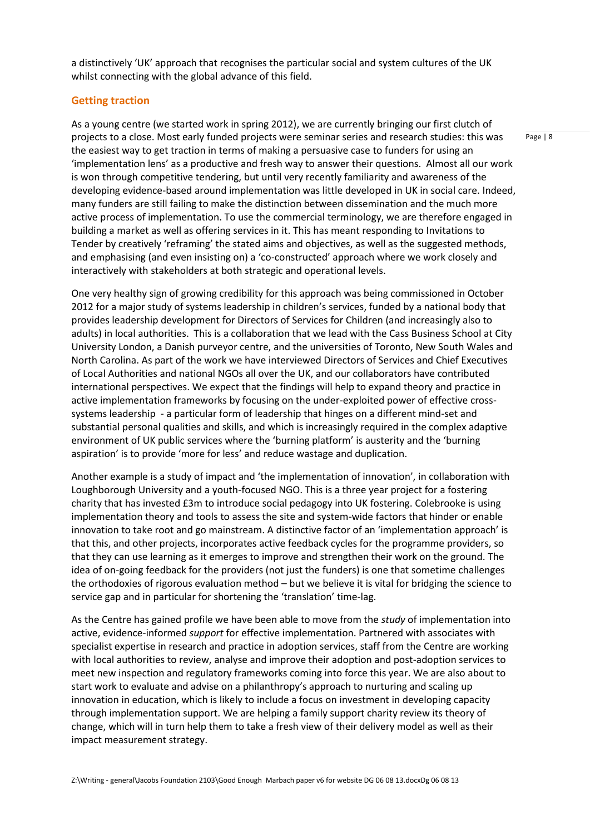a distinctively 'UK' approach that recognises the particular social and system cultures of the UK whilst connecting with the global advance of this field.

### **Getting traction**

As a young centre (we started work in spring 2012), we are currently bringing our first clutch of projects to a close. Most early funded projects were seminar series and research studies: this was the easiest way to get traction in terms of making a persuasive case to funders for using an 'implementation lens' as a productive and fresh way to answer their questions. Almost all our work is won through competitive tendering, but until very recently familiarity and awareness of the developing evidence-based around implementation was little developed in UK in social care. Indeed, many funders are still failing to make the distinction between dissemination and the much more active process of implementation. To use the commercial terminology, we are therefore engaged in building a market as well as offering services in it. This has meant responding to Invitations to Tender by creatively 'reframing' the stated aims and objectives, as well as the suggested methods, and emphasising (and even insisting on) a 'co-constructed' approach where we work closely and interactively with stakeholders at both strategic and operational levels.

One very healthy sign of growing credibility for this approach was being commissioned in October 2012 for a major study of systems leadership in children's services, funded by a national body that provides leadership development for Directors of Services for Children (and increasingly also to adults) in local authorities. This is a collaboration that we lead with the Cass Business School at City University London, a Danish purveyor centre, and the universities of Toronto, New South Wales and North Carolina. As part of the work we have interviewed Directors of Services and Chief Executives of Local Authorities and national NGOs all over the UK, and our collaborators have contributed international perspectives. We expect that the findings will help to expand theory and practice in active implementation frameworks by focusing on the under-exploited power of effective crosssystems leadership - a particular form of leadership that hinges on a different mind-set and substantial personal qualities and skills, and which is increasingly required in the complex adaptive environment of UK public services where the 'burning platform' is austerity and the 'burning aspiration' is to provide 'more for less' and reduce wastage and duplication.

Another example is a study of impact and 'the implementation of innovation', in collaboration with Loughborough University and a youth-focused NGO. This is a three year project for a fostering charity that has invested £3m to introduce social pedagogy into UK fostering. Colebrooke is using implementation theory and tools to assess the site and system-wide factors that hinder or enable innovation to take root and go mainstream. A distinctive factor of an 'implementation approach' is that this, and other projects, incorporates active feedback cycles for the programme providers, so that they can use learning as it emerges to improve and strengthen their work on the ground. The idea of on-going feedback for the providers (not just the funders) is one that sometime challenges the orthodoxies of rigorous evaluation method – but we believe it is vital for bridging the science to service gap and in particular for shortening the 'translation' time-lag.

As the Centre has gained profile we have been able to move from the *study* of implementation into active, evidence-informed *support* for effective implementation. Partnered with associates with specialist expertise in research and practice in adoption services, staff from the Centre are working with local authorities to review, analyse and improve their adoption and post-adoption services to meet new inspection and regulatory frameworks coming into force this year. We are also about to start work to evaluate and advise on a philanthropy's approach to nurturing and scaling up innovation in education, which is likely to include a focus on investment in developing capacity through implementation support. We are helping a family support charity review its theory of change, which will in turn help them to take a fresh view of their delivery model as well as their impact measurement strategy.